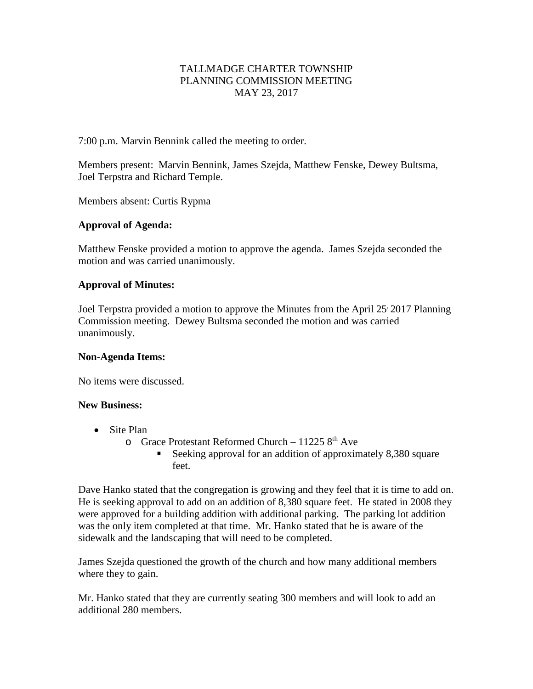# TALLMADGE CHARTER TOWNSHIP PLANNING COMMISSION MEETING MAY 23, 2017

7:00 p.m. Marvin Bennink called the meeting to order.

Members present: Marvin Bennink, James Szejda, Matthew Fenske, Dewey Bultsma, Joel Terpstra and Richard Temple.

Members absent: Curtis Rypma

# **Approval of Agenda:**

Matthew Fenske provided a motion to approve the agenda. James Szejda seconded the motion and was carried unanimously.

# **Approval of Minutes:**

Joel Terpstra provided a motion to approve the Minutes from the April 25 2017 Planning Commission meeting. Dewey Bultsma seconded the motion and was carried unanimously.

#### **Non-Agenda Items:**

No items were discussed.

#### **New Business:**

- Site Plan
	- $\circ$  Grace Protestant Reformed Church 11225  $8<sup>th</sup>$  Ave
		- Seeking approval for an addition of approximately 8,380 square feet.

Dave Hanko stated that the congregation is growing and they feel that it is time to add on. He is seeking approval to add on an addition of 8,380 square feet. He stated in 2008 they were approved for a building addition with additional parking. The parking lot addition was the only item completed at that time. Mr. Hanko stated that he is aware of the sidewalk and the landscaping that will need to be completed.

James Szejda questioned the growth of the church and how many additional members where they to gain.

Mr. Hanko stated that they are currently seating 300 members and will look to add an additional 280 members.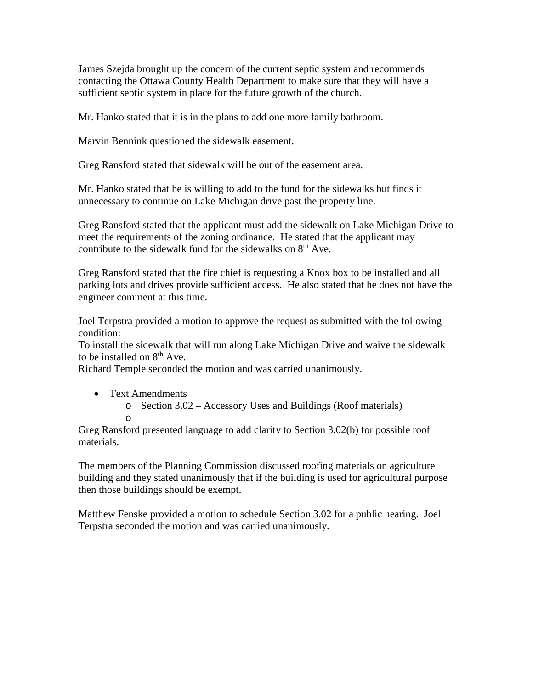James Szejda brought up the concern of the current septic system and recommends contacting the Ottawa County Health Department to make sure that they will have a sufficient septic system in place for the future growth of the church.

Mr. Hanko stated that it is in the plans to add one more family bathroom.

Marvin Bennink questioned the sidewalk easement.

Greg Ransford stated that sidewalk will be out of the easement area.

Mr. Hanko stated that he is willing to add to the fund for the sidewalks but finds it unnecessary to continue on Lake Michigan drive past the property line.

Greg Ransford stated that the applicant must add the sidewalk on Lake Michigan Drive to meet the requirements of the zoning ordinance. He stated that the applicant may contribute to the sidewalk fund for the sidewalks on  $8<sup>th</sup>$  Ave.

Greg Ransford stated that the fire chief is requesting a Knox box to be installed and all parking lots and drives provide sufficient access. He also stated that he does not have the engineer comment at this time.

Joel Terpstra provided a motion to approve the request as submitted with the following condition:

To install the sidewalk that will run along Lake Michigan Drive and waive the sidewalk to be installed on 8<sup>th</sup> Ave.

Richard Temple seconded the motion and was carried unanimously.

- Text Amendments
	- o Section 3.02 Accessory Uses and Buildings (Roof materials)

o

Greg Ransford presented language to add clarity to Section 3.02(b) for possible roof materials.

The members of the Planning Commission discussed roofing materials on agriculture building and they stated unanimously that if the building is used for agricultural purpose then those buildings should be exempt.

Matthew Fenske provided a motion to schedule Section 3.02 for a public hearing. Joel Terpstra seconded the motion and was carried unanimously.